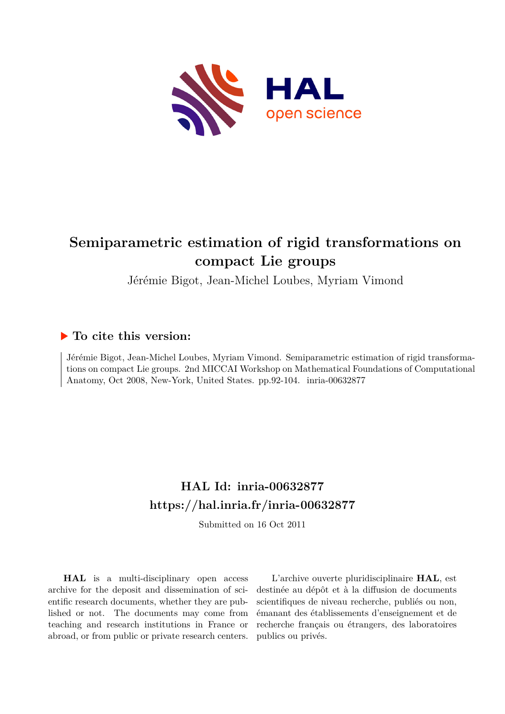

# **Semiparametric estimation of rigid transformations on compact Lie groups**

Jérémie Bigot, Jean-Michel Loubes, Myriam Vimond

## **To cite this version:**

Jérémie Bigot, Jean-Michel Loubes, Myriam Vimond. Semiparametric estimation of rigid transformations on compact Lie groups. 2nd MICCAI Workshop on Mathematical Foundations of Computational Anatomy, Oct 2008, New-York, United States. pp.92-104. inria-00632877

# **HAL Id: inria-00632877 <https://hal.inria.fr/inria-00632877>**

Submitted on 16 Oct 2011

**HAL** is a multi-disciplinary open access archive for the deposit and dissemination of scientific research documents, whether they are published or not. The documents may come from teaching and research institutions in France or abroad, or from public or private research centers.

L'archive ouverte pluridisciplinaire **HAL**, est destinée au dépôt et à la diffusion de documents scientifiques de niveau recherche, publiés ou non, émanant des établissements d'enseignement et de recherche français ou étrangers, des laboratoires publics ou privés.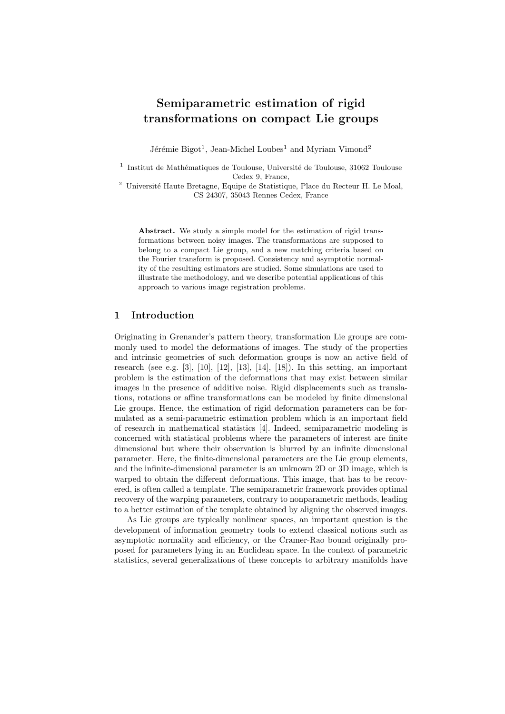## Semiparametric estimation of rigid transformations on compact Lie groups

Jérémie Bigot<sup>1</sup>, Jean-Michel Loubes<sup>1</sup> and Myriam Vimond<sup>2</sup>

 $^{\rm 1}$ Institut de Mathématiques de Toulouse, Université de Toulouse, 31062 Toulouse Cedex 9, France,

 $^2$ Université Haute Bretagne, Equipe de Statistique, Place du Recteur H. Le Moal, CS 24307, 35043 Rennes Cedex, France

Abstract. We study a simple model for the estimation of rigid transformations between noisy images. The transformations are supposed to belong to a compact Lie group, and a new matching criteria based on the Fourier transform is proposed. Consistency and asymptotic normality of the resulting estimators are studied. Some simulations are used to illustrate the methodology, and we describe potential applications of this approach to various image registration problems.

## 1 Introduction

Originating in Grenander's pattern theory, transformation Lie groups are commonly used to model the deformations of images. The study of the properties and intrinsic geometries of such deformation groups is now an active field of research (see e.g. [3], [10], [12], [13], [14], [18]). In this setting, an important problem is the estimation of the deformations that may exist between similar images in the presence of additive noise. Rigid displacements such as translations, rotations or affine transformations can be modeled by finite dimensional Lie groups. Hence, the estimation of rigid deformation parameters can be formulated as a semi-parametric estimation problem which is an important field of research in mathematical statistics [4]. Indeed, semiparametric modeling is concerned with statistical problems where the parameters of interest are finite dimensional but where their observation is blurred by an infinite dimensional parameter. Here, the finite-dimensional parameters are the Lie group elements, and the infinite-dimensional parameter is an unknown 2D or 3D image, which is warped to obtain the different deformations. This image, that has to be recovered, is often called a template. The semiparametric framework provides optimal recovery of the warping parameters, contrary to nonparametric methods, leading to a better estimation of the template obtained by aligning the observed images.

As Lie groups are typically nonlinear spaces, an important question is the development of information geometry tools to extend classical notions such as asymptotic normality and efficiency, or the Cramer-Rao bound originally proposed for parameters lying in an Euclidean space. In the context of parametric statistics, several generalizations of these concepts to arbitrary manifolds have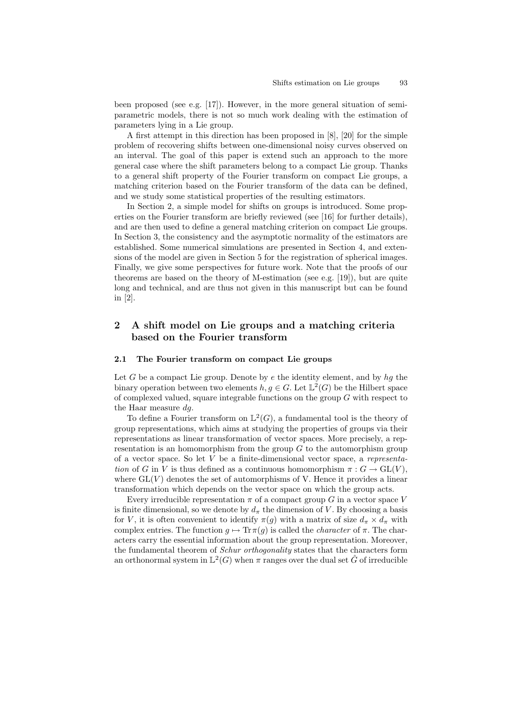been proposed (see e.g. [17]). However, in the more general situation of semiparametric models, there is not so much work dealing with the estimation of parameters lying in a Lie group.

A first attempt in this direction has been proposed in [8], [20] for the simple problem of recovering shifts between one-dimensional noisy curves observed on an interval. The goal of this paper is extend such an approach to the more general case where the shift parameters belong to a compact Lie group. Thanks to a general shift property of the Fourier transform on compact Lie groups, a matching criterion based on the Fourier transform of the data can be defined, and we study some statistical properties of the resulting estimators.

In Section 2, a simple model for shifts on groups is introduced. Some properties on the Fourier transform are briefly reviewed (see [16] for further details), and are then used to define a general matching criterion on compact Lie groups. In Section 3, the consistency and the asymptotic normality of the estimators are established. Some numerical simulations are presented in Section 4, and extensions of the model are given in Section 5 for the registration of spherical images. Finally, we give some perspectives for future work. Note that the proofs of our theorems are based on the theory of M-estimation (see e.g. [19]), but are quite long and technical, and are thus not given in this manuscript but can be found in [2].

## 2 A shift model on Lie groups and a matching criteria based on the Fourier transform

### 2.1 The Fourier transform on compact Lie groups

Let G be a compact Lie group. Denote by  $e$  the identity element, and by  $hg$  the binary operation between two elements  $h, g \in G$ . Let  $\mathbb{L}^2(G)$  be the Hilbert space of complexed valued, square integrable functions on the group G with respect to the Haar measure dg.

To define a Fourier transform on  $\mathbb{L}^2(G)$ , a fundamental tool is the theory of group representations, which aims at studying the properties of groups via their representations as linear transformation of vector spaces. More precisely, a representation is an homomorphism from the group  $G$  to the automorphism group of a vector space. So let V be a finite-dimensional vector space, a representation of G in V is thus defined as a continuous homomorphism  $\pi : G \to GL(V)$ , where  $GL(V)$  denotes the set of automorphisms of V. Hence it provides a linear transformation which depends on the vector space on which the group acts.

Every irreducible representation  $\pi$  of a compact group G in a vector space V is finite dimensional, so we denote by  $d_{\pi}$  the dimension of V. By choosing a basis for V, it is often convenient to identify  $\pi(g)$  with a matrix of size  $d_{\pi} \times d_{\pi}$  with complex entries. The function  $g \mapsto \text{Tr}\pi(g)$  is called the *character* of  $\pi$ . The characters carry the essential information about the group representation. Moreover, the fundamental theorem of *Schur orthogonality* states that the characters form an orthonormal system in  $\mathbb{L}^2(G)$  when  $\pi$  ranges over the dual set  $\hat{G}$  of irreducible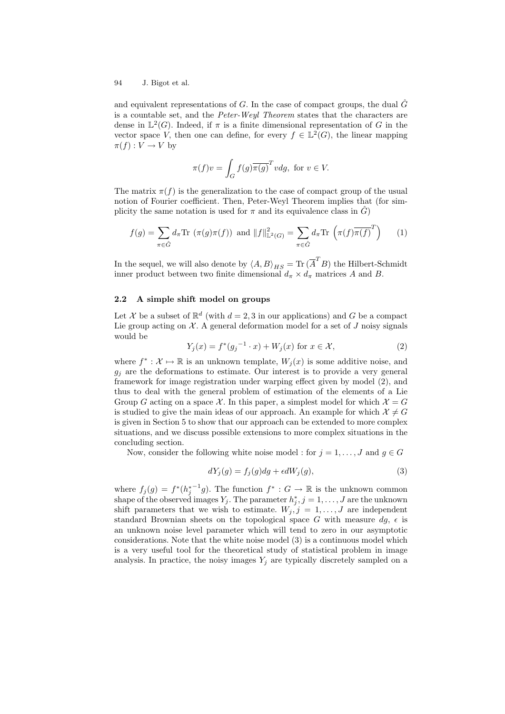and equivalent representations of G. In the case of compact groups, the dual  $\hat{G}$ is a countable set, and the Peter-Weyl Theorem states that the characters are dense in  $L^2(G)$ . Indeed, if  $\pi$  is a finite dimensional representation of G in the vector space V, then one can define, for every  $f \in L^2(G)$ , the linear mapping  $\pi(f): V \to V$  by

$$
\pi(f)v = \int_G f(g)\overline{\pi(g)}^T v dg, \text{ for } v \in V.
$$

The matrix  $\pi(f)$  is the generalization to the case of compact group of the usual notion of Fourier coefficient. Then, Peter-Weyl Theorem implies that (for simplicity the same notation is used for  $\pi$  and its equivalence class in  $\hat{G}$ 

$$
f(g) = \sum_{\pi \in \hat{G}} d_{\pi} \text{Tr} \left( \pi(g)\pi(f) \right) \text{ and } ||f||_{\mathbb{L}^{2}(G)}^{2} = \sum_{\pi \in \hat{G}} d_{\pi} \text{Tr} \left( \pi(f)\overline{\pi(f)}^{T} \right) \qquad (1)
$$

In the sequel, we will also denote by  $\langle A, B \rangle_{HS} = \text{Tr} \,(\overline{A}^T B)$  the Hilbert-Schmidt inner product between two finite dimensional  $d_{\pi} \times d_{\pi}$  matrices A and B.

### 2.2 A simple shift model on groups

Let X be a subset of  $\mathbb{R}^d$  (with  $d = 2, 3$  in our applications) and G be a compact Lie group acting on  $\mathcal{X}$ . A general deformation model for a set of J noisy signals would be

$$
Y_j(x) = f^*(g_j^{-1} \cdot x) + W_j(x) \text{ for } x \in \mathcal{X},
$$
 (2)

where  $f^*: \mathcal{X} \mapsto \mathbb{R}$  is an unknown template,  $W_j(x)$  is some additive noise, and  $g_i$  are the deformations to estimate. Our interest is to provide a very general framework for image registration under warping effect given by model (2), and thus to deal with the general problem of estimation of the elements of a Lie Group G acting on a space X. In this paper, a simplest model for which  $\mathcal{X} = G$ is studied to give the main ideas of our approach. An example for which  $\mathcal{X} \neq G$ is given in Section 5 to show that our approach can be extended to more complex situations, and we discuss possible extensions to more complex situations in the concluding section.

Now, consider the following white noise model : for  $j = 1, \ldots, J$  and  $q \in G$ 

$$
dY_j(g) = f_j(g)dg + \epsilon dW_j(g),\tag{3}
$$

where  $f_j(g) = f^*(h_j^{*-1}g)$ . The function  $f^* : G \to \mathbb{R}$  is the unknown common shape of the observed images  $Y_j$ . The parameter  $h_j^*, j = 1, \ldots, J$  are the unknown shift parameters that we wish to estimate.  $W_j, j = 1, \ldots, J$  are independent standard Brownian sheets on the topological space G with measure  $dg$ ,  $\epsilon$  is an unknown noise level parameter which will tend to zero in our asymptotic considerations. Note that the white noise model (3) is a continuous model which is a very useful tool for the theoretical study of statistical problem in image analysis. In practice, the noisy images  $Y_j$  are typically discretely sampled on a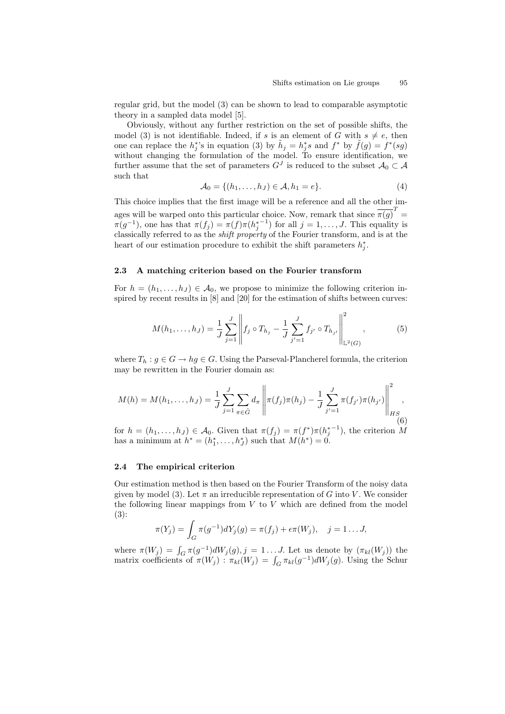regular grid, but the model (3) can be shown to lead to comparable asymptotic theory in a sampled data model [5].

Obviously, without any further restriction on the set of possible shifts, the model (3) is not identifiable. Indeed, if s is an element of G with  $s \neq e$ , then one can replace the  $h_j^*$ 's in equation (3) by  $\tilde{h}_j = h_j^* s$  and  $f^*$  by  $\tilde{f}(g) = f^*(sg)$ without changing the formulation of the model. To ensure identification, we further assume that the set of parameters  $G<sup>J</sup>$  is reduced to the subset  $\mathcal{A}_0 \subset \mathcal{A}$ such that

$$
\mathcal{A}_0 = \{ (h_1, \dots, h_J) \in \mathcal{A}, h_1 = e \}.
$$
\n<sup>(4)</sup>

This choice implies that the first image will be a reference and all the other images will be warped onto this particular choice. Now, remark that since  $\overline{\pi(g)}^T =$  $\pi(g^{-1})$ , one has that  $\pi(f_j) = \pi(f)\pi(h_j^{*-1})$  for all  $j = 1, \ldots, J$ . This equality is classically referred to as the shift property of the Fourier transform, and is at the heart of our estimation procedure to exhibit the shift parameters  $h_j^*$ .

#### 2.3 A matching criterion based on the Fourier transform

For  $h = (h_1, \ldots, h_J) \in \mathcal{A}_0$ , we propose to minimize the following criterion inspired by recent results in [8] and [20] for the estimation of shifts between curves:

$$
M(h_1, \dots, h_J) = \frac{1}{J} \sum_{j=1}^{J} \left\| f_j \circ T_{h_j} - \frac{1}{J} \sum_{j'=1}^{J} f_{j'} \circ T_{h_{j'}} \right\|_{\mathbb{L}^2(G)}^2, \tag{5}
$$

where  $T_h: g \in G \to hg \in G$ . Using the Parseval-Plancherel formula, the criterion may be rewritten in the Fourier domain as:

$$
M(h) = M(h_1, \dots, h_J) = \frac{1}{J} \sum_{j=1}^{J} \sum_{\pi \in \hat{G}} d_{\pi} \left\| \pi(f_j) \pi(h_j) - \frac{1}{J} \sum_{j'=1}^{J} \pi(f_{j'}) \pi(h_{j'}) \right\|_{HS_{(6)}}^2,
$$

for  $h = (h_1, \ldots, h_J) \in \mathcal{A}_0$ . Given that  $\pi(f_j) = \pi(f^*)\pi(h_j^{*-1})$ , the criterion M has a minimum at  $h^* = (h_1^*, \ldots, h_J^*)$  such that  $M(h^*) = 0$ .

#### 2.4 The empirical criterion

Our estimation method is then based on the Fourier Transform of the noisy data given by model (3). Let  $\pi$  an irreducible representation of G into V. We consider the following linear mappings from  $V$  to  $V$  which are defined from the model (3):

$$
\pi(Y_j) = \int_G \pi(g^{-1})dY_j(g) = \pi(f_j) + \epsilon \pi(W_j), \quad j = 1 \dots J,
$$

where  $\pi(W_j) = \int_G \pi(g^{-1}) dW_j(g)$ ,  $j = 1...J$ . Let us denote by  $(\pi_{kl}(W_j))$  the matrix coefficients of  $\pi(W_j)$ :  $\pi_{kl}(W_j) = \int_G \pi_{kl}(g^{-1})dW_j(g)$ . Using the Schur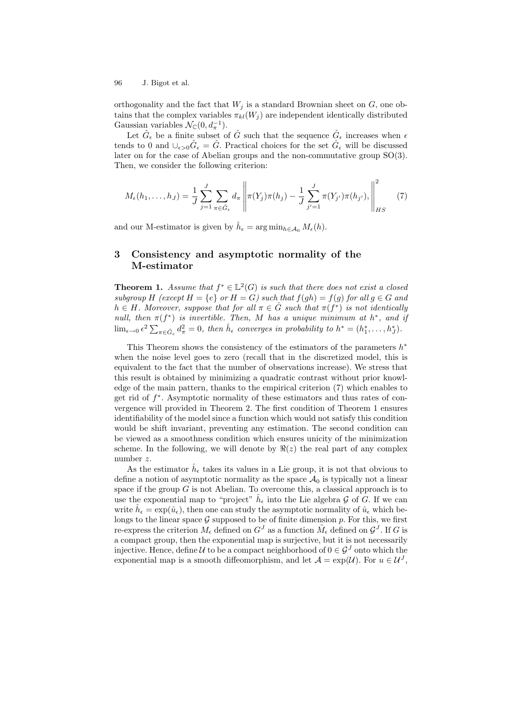orthogonality and the fact that  $W_j$  is a standard Brownian sheet on  $G$ , one obtains that the complex variables  $\pi_{kl}(W_i)$  are independent identically distributed Gaussian variables  $\mathcal{N}_{\mathbb{C}}(0, d_{\pi}^{-1}).$ 

Let  $\hat{G}_{\epsilon}$  be a finite subset of  $\hat{G}$  such that the sequence  $\hat{G}_{\epsilon}$  increases when  $\epsilon$ tends to 0 and  $\cup_{\epsilon>0}\hat{G}_{\epsilon}=\hat{G}$ . Practical choices for the set  $\hat{G}_{\epsilon}$  will be discussed later on for the case of Abelian groups and the non-commutative group SO(3). Then, we consider the following criterion:

$$
M_{\epsilon}(h_1,\ldots,h_J) = \frac{1}{J} \sum_{j=1}^{J} \sum_{\pi \in \hat{G}_{\epsilon}} d_{\pi} \left\| \pi(Y_j) \pi(h_j) - \frac{1}{J} \sum_{j'=1}^{J} \pi(Y_{j'}) \pi(h_{j'}) \right\|_{HS}^2 \tag{7}
$$

and our M-estimator is given by  $\hat{h}_{\epsilon} = \arg \min_{h \in \mathcal{A}_0} M_{\epsilon}(h)$ .

## 3 Consistency and asymptotic normality of the M-estimator

**Theorem 1.** Assume that  $f^* \in \mathbb{L}^2(G)$  is such that there does not exist a closed subgroup H (except  $H = \{e\}$  or  $H = G$ ) such that  $f(gh) = f(g)$  for all  $g \in G$  and  $h \in H$ . Moreover, suppose that for all  $\pi \in \hat{G}$  such that  $\pi(f^*)$  is not identically null, then  $\pi(f^*)$  is invertible. Then, M has a unique minimum at  $h^*$ , and if  $\lim_{\epsilon \to 0} \epsilon^2 \sum_{\pi \in \hat{G}_{\epsilon}} d_{\pi}^2 = 0$ , then  $\hat{h}_{\epsilon}$  converges in probability to  $h^* = (h_1^*, \ldots, h_J^*)$ .

This Theorem shows the consistency of the estimators of the parameters  $h^*$ when the noise level goes to zero (recall that in the discretized model, this is equivalent to the fact that the number of observations increase). We stress that this result is obtained by minimizing a quadratic contrast without prior knowledge of the main pattern, thanks to the empirical criterion (7) which enables to get rid of  $f^*$ . Asymptotic normality of these estimators and thus rates of convergence will provided in Theorem 2. The first condition of Theorem 1 ensures identifiability of the model since a function which would not satisfy this condition would be shift invariant, preventing any estimation. The second condition can be viewed as a smoothness condition which ensures unicity of the minimization scheme. In the following, we will denote by  $\Re(z)$  the real part of any complex number z.

As the estimator  $\hat{h}_{\epsilon}$  takes its values in a Lie group, it is not that obvious to define a notion of asymptotic normality as the space  $A_0$  is typically not a linear space if the group  $G$  is not Abelian. To overcome this, a classical approach is to use the exponential map to "project"  $\hat{h}_{\epsilon}$  into the Lie algebra G of G. If we can write  $\hat{h}_{\epsilon} = \exp(\hat{u}_{\epsilon})$ , then one can study the asymptotic normality of  $\hat{u}_{\epsilon}$  which belongs to the linear space  $G$  supposed to be of finite dimension  $p$ . For this, we first re-express the criterion  $M_{\epsilon}$  defined on  $G^{J}$  as a function  $\tilde{M}_{\epsilon}$  defined on  $\mathcal{G}^{J}$ . If G is a compact group, then the exponential map is surjective, but it is not necessarily injective. Hence, define U to be a compact neighborhood of  $0 \in \mathcal{G}^J$  onto which the exponential map is a smooth diffeomorphism, and let  $\mathcal{A} = \exp(\mathcal{U})$ . For  $u \in \mathcal{U}^J$ ,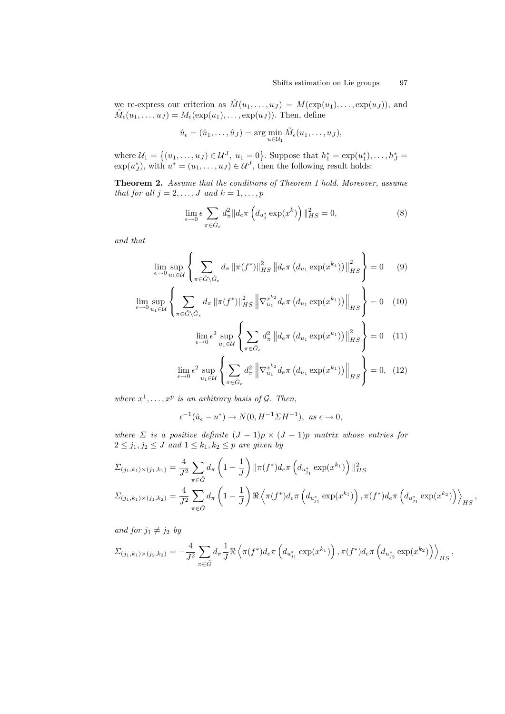we re-express our criterion as  $\tilde{M}(u_1,\ldots,u_J) = M(\exp(u_1),\ldots,\exp(u_J)),$  and  $\tilde{M}_{\epsilon}(u_1,\ldots,u_J) = M_{\epsilon}(\exp(u_1),\ldots,\exp(u_J)).$  Then, define

$$
\hat{u}_{\epsilon} = (\hat{u}_1, \dots, \hat{u}_J) = \arg\min_{u \in \mathcal{U}_1} \tilde{M}_{\epsilon}(u_1, \dots, u_J),
$$

where  $\mathcal{U}_1 = \{(u_1, \ldots, u_J) \in \mathcal{U}^J, u_1 = 0\}$ . Suppose that  $h_1^* = \exp(u_1^*), \ldots, h_J^* =$  $\exp(u_J^*),$  with  $u^* = (u_1, \ldots, u_J) \in \mathcal{U}^J$ , then the following result holds:

Theorem 2. Assume that the conditions of Theorem 1 hold. Moreover, assume that for all  $j = 2, \ldots, J$  and  $k = 1, \ldots, p$ 

$$
\lim_{\epsilon \to 0} \epsilon \sum_{\pi \in \hat{G}_{\epsilon}} d_{\pi}^2 \| d_{e} \pi \left( d_{u_j^*} \exp(x^k) \right) \|_{HS}^2 = 0,
$$
\n(8)

and that

$$
\lim_{\epsilon \to 0} \sup_{u_1 \in \mathcal{U}} \left\{ \sum_{\pi \in \hat{G} \setminus \hat{G}_{\epsilon}} d_{\pi} \left\| \pi(f^*) \right\|_{HS}^2 \left\| d_{e} \pi \left( d_{u_1} \exp(x^{k_1}) \right) \right\|_{HS}^2 \right\} = 0 \quad (9)
$$

$$
\lim_{\epsilon \to 0} \sup_{u_1 \in \mathcal{U}} \left\{ \sum_{\pi \in \hat{G} \setminus \hat{G}_{\epsilon}} d_{\pi} \left\| \pi(f^*) \right\|_{HS}^2 \left\| \nabla_{u_1}^{x^{k_2}} d_{\epsilon} \pi \left( d_{u_1} \exp(x^{k_1}) \right) \right\|_{HS} \right\} = 0 \quad (10)
$$

$$
\lim_{\epsilon \to 0} \epsilon^2 \sup_{u_1 \in \mathcal{U}} \left\{ \sum_{\pi \in \hat{G}_{\epsilon}} d_{\pi}^2 \left\| d_{\epsilon} \pi \left( d_{u_1} \exp(x^{k_1}) \right) \right\|_{HS}^2 \right\} = 0 \quad (11)
$$

$$
\lim_{\epsilon \to 0} \epsilon^2 \sup_{u_1 \in \mathcal{U}} \left\{ \sum_{\pi \in \hat{G}_{\epsilon}} d_{\pi}^2 \left\| \nabla_{u_1}^{x^{k_2}} d_e \pi \left( d_{u_1} \exp(x^{k_1}) \right) \right\|_{HS} \right\} = 0, \tag{12}
$$

where  $x^1, \ldots, x^p$  is an arbitrary basis of  $\mathcal{G}$ . Then,

$$
\epsilon^{-1}(\hat{u}_{\epsilon} - u^*) \to N(0, H^{-1} \Sigma H^{-1}), \ \text{as } \epsilon \to 0,
$$

where  $\Sigma$  is a positive definite  $(J-1)p \times (J-1)p$  matrix whose entries for  $2 \leq j_1, j_2 \leq J$  and  $1 \leq k_1, k_2 \leq p$  are given by

$$
\Sigma_{(j_1,k_1)\times(j_1,k_1)} = \frac{4}{J^2} \sum_{\pi \in \hat{G}} d_{\pi} \left(1 - \frac{1}{J}\right) \|\pi(f^*)d_{e}\pi\left(d_{u_{j_1}^*} \exp(x^{k_1})\right)\|_{HS}^2
$$
\n
$$
\Sigma_{(j_1,k_1)\times(j_1,k_2)} = \frac{4}{J^2} \sum_{\pi \in \hat{G}} d_{\pi} \left(1 - \frac{1}{J}\right) \Re \left\langle \pi(f^*)d_{e}\pi\left(d_{u_{j_1}^*} \exp(x^{k_1})\right), \pi(f^*)d_{e}\pi\left(d_{u_{j_1}^*} \exp(x^{k_2})\right) \right\rangle_{HS}
$$

,

and for  $j_1 \neq j_2$  by

$$
\Sigma_{(j_1,k_1)\times (j_2,k_2)} = -\frac{4}{J^2} \sum_{\pi \in \hat{G}} d_{\pi} \frac{1}{J} \Re \left\langle \pi(f^*) d_e \pi \left( d_{u_{j_1}^*} \exp(x^{k_1}) \right), \pi(f^*) d_e \pi \left( d_{u_{j_2}^*} \exp(x^{k_2}) \right) \right\rangle_{HS},
$$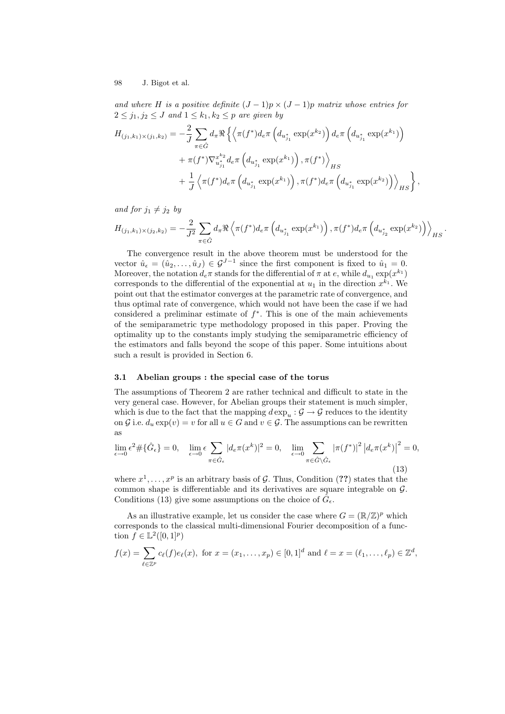and where H is a positive definite  $(J-1)p \times (J-1)p$  matrix whose entries for  $2 \leq j_1, j_2 \leq J$  and  $1 \leq k_1, k_2 \leq p$  are given by

$$
H_{(j_1,k_1)\times (j_1,k_2)} = -\frac{2}{J} \sum_{\pi \in \hat{G}} d_{\pi} \Re \left\{ \left\langle \pi(f^*) d_e \pi \left( d_{u_{j_1}} \exp(x^{k_2}) \right) d_e \pi \left( d_{u_{j_1}} \exp(x^{k_1}) \right) \right. \right.+ \pi(f^*) \nabla_{u_{j_1}}^{x^{k_2}} d_e \pi \left( d_{u_{j_1}} \exp(x^{k_1}) \right), \pi(f^*) \right\rangle_{HS} + \frac{1}{J} \left\langle \pi(f^*) d_e \pi \left( d_{u_{j_1}} \exp(x^{k_1}) \right), \pi(f^*) d_e \pi \left( d_{u_{j_1}} \exp(x^{k_2}) \right) \right\rangle_{HS} \right\}
$$

and for  $j_1 \neq j_2$  by

$$
H_{(j_1,k_1)\times (j_2,k_2)} = -\frac{2}{J^2} \sum_{\pi \in \hat{G}} d_{\pi} \Re \left\langle \pi(f^*) d_e \pi \left( d_{u_{j_1}^*} \exp(x^{k_1}) \right), \pi(f^*) d_e \pi \left( d_{u_{j_2}^*} \exp(x^{k_2}) \right) \right\rangle_{HS}.
$$

,

The convergence result in the above theorem must be understood for the vector  $\hat{u}_{\epsilon} = (\hat{u}_2, \dots, \hat{u}_J) \in \mathcal{G}^{J-1}$  since the first component is fixed to  $\hat{u}_1 = 0$ . Moreover, the notation  $d_e\pi$  stands for the differential of  $\pi$  at  $e$ , while  $d_{u_1} \exp(x^{k_1})$ corresponds to the differential of the exponential at  $u_1$  in the direction  $x^{k_1}$ . We point out that the estimator converges at the parametric rate of convergence, and thus optimal rate of convergence, which would not have been the case if we had considered a preliminar estimate of  $f^*$ . This is one of the main achievements of the semiparametric type methodology proposed in this paper. Proving the optimality up to the constants imply studying the semiparametric efficiency of the estimators and falls beyond the scope of this paper. Some intuitions about such a result is provided in Section 6.

## 3.1 Abelian groups : the special case of the torus

The assumptions of Theorem 2 are rather technical and difficult to state in the very general case. However, for Abelian groups their statement is much simpler, which is due to the fact that the mapping  $d \exp_u : \mathcal{G} \to \mathcal{G}$  reduces to the identity on G i.e.  $d_u \exp(v) = v$  for all  $u \in G$  and  $v \in \mathcal{G}$ . The assumptions can be rewritten as

$$
\lim_{\epsilon \to 0} \epsilon^2 \# \{\hat{G}_{\epsilon}\} = 0, \quad \lim_{\epsilon \to 0} \epsilon \sum_{\pi \in \hat{G}_{\epsilon}} |d_e \pi(x^k)|^2 = 0, \quad \lim_{\epsilon \to 0} \sum_{\pi \in \hat{G} \backslash \hat{G}_{\epsilon}} |\pi(f^*)|^2 |d_e \pi(x^k)|^2 = 0,
$$
\n(13)

where  $x^1, \ldots, x^p$  is an arbitrary basis of G. Thus, Condition (??) states that the common shape is differentiable and its derivatives are square integrable on G. Conditions (13) give some assumptions on the choice of  $\hat{G}_{\epsilon}$ .

As an illustrative example, let us consider the case where  $G = (\mathbb{R}/\mathbb{Z})^p$  which corresponds to the classical multi-dimensional Fourier decomposition of a function  $f \in \mathbb{L}^2([0,1]^p)$ 

$$
f(x) = \sum_{\ell \in \mathbb{Z}^p} c_{\ell}(f) e_{\ell}(x)
$$
, for  $x = (x_1, ..., x_p) \in [0, 1]^d$  and  $\ell = x = (\ell_1, ..., \ell_p) \in \mathbb{Z}^d$ ,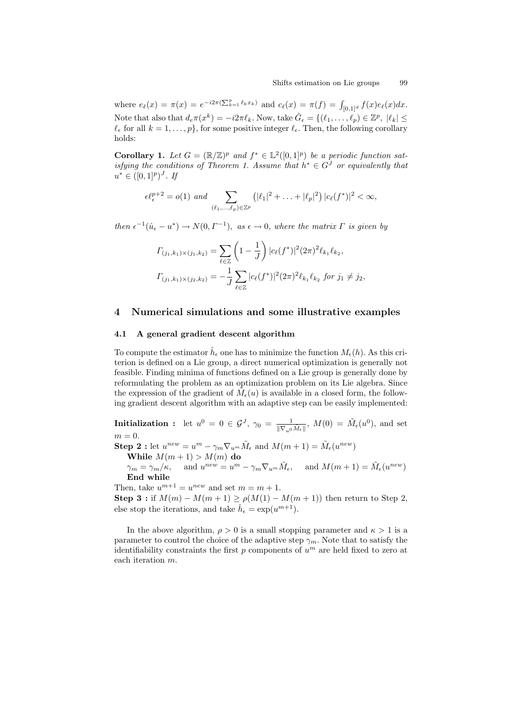where  $e_{\ell}(x) = \pi(x) = e^{-i2\pi(\sum_{k=1}^{p} \ell_k x_k)}$  and  $c_{\ell}(x) = \pi(f) = \int_{[0,1]^d} f(x)e_{\ell}(x)dx$ . Note that also that  $d_e \pi(x^k) = -i2\pi \ell_k$ . Now, take  $\hat{G}_{\epsilon} = \{(\ell_1, \ldots, \ell_p) \in \mathbb{Z}^p, |\ell_k| \leq \epsilon \}$  $\ell_{\epsilon}$  for all  $k = 1, \ldots, p$ , for some positive integer  $\ell_{\epsilon}$ . Then, the following corollary holds:

**Corollary 1.** Let  $G = (\mathbb{R}/\mathbb{Z})^p$  and  $f^* \in \mathbb{L}^2([0,1]^p)$  be a periodic function satisfying the conditions of Theorem 1. Assume that  $h^* \in G^J$  or equivalently that  $u^* \in ([0,1]^p)^J$ . If

$$
\epsilon \ell_{\epsilon}^{p+2} = o(1) \ \text{and} \ \sum_{(\ell_1,\ldots,\ell_p)\in\mathbb{Z}^p} \left( |\ell_1|^2 + \ldots + |\ell_p|^2 \right) |c_{\ell}(f^*)|^2 < \infty,
$$

then  $\epsilon^{-1}(\hat{u}_{\epsilon} - u^*) \to N(0, \Gamma^{-1}),$  as  $\epsilon \to 0$ , where the matrix  $\Gamma$  is given by

$$
\Gamma_{(j_1,k_1)\times(j_1,k_2)} = \sum_{\ell \in \mathbb{Z}} \left(1 - \frac{1}{J}\right) |c_{\ell}(f^*)|^2 (2\pi)^2 \ell_{k_1} \ell_{k_2},
$$

$$
\Gamma_{(j_1,k_1)\times(j_2,k_2)} = -\frac{1}{J} \sum_{\ell \in \mathbb{Z}} |c_{\ell}(f^*)|^2 (2\pi)^2 \ell_{k_1} \ell_{k_2} \text{ for } j_1 \neq j_2,
$$

## 4 Numerical simulations and some illustrative examples

#### 4.1 A general gradient descent algorithm

To compute the estimator  $\hat{h}_{\epsilon}$  one has to minimize the function  $M_{\epsilon}(h)$ . As this criterion is defined on a Lie group, a direct numerical optimization is generally not feasible. Finding minima of functions defined on a Lie group is generally done by reformulating the problem as an optimization problem on its Lie algebra. Since the expression of the gradient of  $\tilde{M}_{\epsilon}(u)$  is available in a closed form, the following gradient descent algorithm with an adaptive step can be easily implemented:

**Initialization :** let  $u^0 = 0 \in \mathcal{G}^J$ ,  $\gamma_0 = \frac{1}{\|\nabla_{u^0}\tilde{M}_{\epsilon}\|}$ ,  $M(0) = \tilde{M}_{\epsilon}(u^0)$ , and set  $m = 0$ . **Step 2**: let  $u^{new} = u^m - \gamma_m \nabla_{u^m} \tilde{M}_{\epsilon}$  and  $M(m+1) = \tilde{M}_{\epsilon}(u^{new})$ While  $M(m+1) > M(m)$ do  $\gamma_m = \gamma_m/\kappa$ , and  $u^{new} = u^m - \gamma_m \nabla_{u^m} \tilde{M}_{\epsilon}$ , and  $M(m+1) = \tilde{M}_{\epsilon}(u^{new})$ End while Then, take  $u^{m+1} = u^{new}$  and set  $m = m + 1$ .

Step 3 : if  $M(m) - M(m + 1) \ge \rho(M(1) - M(m + 1))$  then return to Step 2, else stop the iterations, and take  $\hat{h}_{\epsilon} = \exp(u^{m+1})$ .

In the above algorithm,  $\rho > 0$  is a small stopping parameter and  $\kappa > 1$  is a parameter to control the choice of the adaptive step  $\gamma_m$ . Note that to satisfy the identifiability constraints the first  $p$  components of  $u^m$  are held fixed to zero at each iteration m.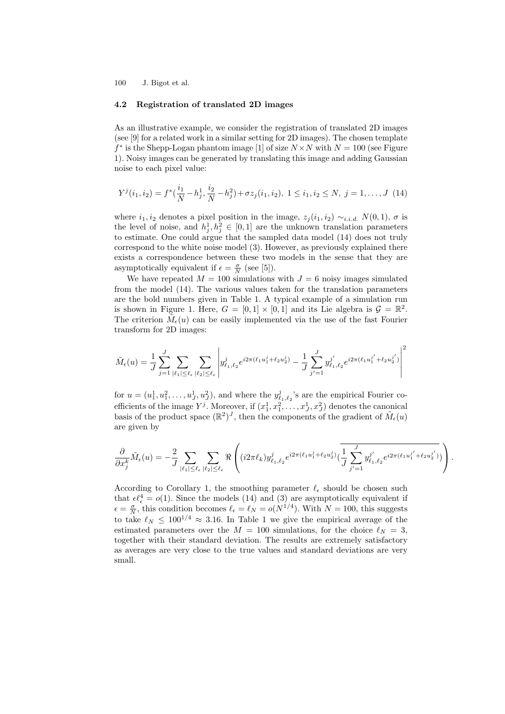#### 4.2 Registration of translated 2D images

As an illustrative example, we consider the registration of translated 2D images (see [9] for a related work in a similar setting for 2D images). The chosen template  $f^*$  is the Shepp-Logan phantom image [1] of size  $N \times N$  with  $N = 100$  (see Figure 1). Noisy images can be generated by translating this image and adding Gaussian noise to each pixel value:

$$
Y^{j}(i_1, i_2) = f^{*}(\frac{i_1}{N} - h_j^{1}, \frac{i_2}{N} - h_j^{2}) + \sigma z_{j}(i_1, i_2), \ 1 \leq i_1, i_2 \leq N, \ j = 1, \dots, J \ (14)
$$

where  $i_1, i_2$  denotes a pixel position in the image,  $z_j(i_1, i_2) \sim_{i.i.d.} N(0, 1)$ ,  $\sigma$  is the level of noise, and  $h_j^1, h_j^2 \in [0,1]$  are the unknown translation parameters to estimate. One could argue that the sampled data model (14) does not truly correspond to the white noise model (3). However, as previously explained there exists a correspondence between these two models in the sense that they are asymptotically equivalent if  $\epsilon = \frac{\sigma}{N}$  (see [5]).

We have repeated  $M = 100$  simulations with  $J = 6$  noisy images simulated from the model (14). The various values taken for the translation parameters are the bold numbers given in Table 1. A typical example of a simulation run is shown in Figure 1. Here,  $G = [0,1] \times [0,1]$  and its Lie algebra is  $\mathcal{G} = \mathbb{R}^2$ . The criterion  $\tilde{M}_{\epsilon}(u)$  can be easily implemented via the use of the fast Fourier transform for 2D images:

$$
\tilde{M}_{\epsilon}(u) = \frac{1}{J} \sum_{j=1}^{J} \sum_{|\ell_1| \leq \ell_{\epsilon}} \sum_{|\ell_2| \leq \ell_{\epsilon}} \left| y_{\ell_1,\ell_2}^j e^{i2\pi(\ell_1 u_1^j + \ell_2 u_2^j)} - \frac{1}{J} \sum_{j'=1}^{J} y_{\ell_1,\ell_2}^{j'} e^{i2\pi(\ell_1 u_1^{j'} + \ell_2 u_2^{j'})} \right|^2
$$

for  $u = (u_1^1, u_1^2, \dots, u_J^1, u_J^2)$ , and where the  $y_{\ell_1, \ell_2}^j$ 's are the empirical Fourier coefficients of the image  $Y^j$ . Moreover, if  $(x_1^1, x_1^2, \ldots, x_J^1, x_J^2)$  denotes the canonical basis of the product space  $(\mathbb{R}^2)^J$ , then the components of the gradient of  $\tilde{M}_{\epsilon}(u)$ are given by

$$
\frac{\partial}{\partial x_j^k} \tilde{M}_{\epsilon}(u) = -\frac{2}{J} \sum_{|\ell_1| \leq \ell_{\epsilon}} \sum_{|\ell_2| \leq \ell_{\epsilon}} \Re \left( (i 2\pi \ell_k) y_{\ell_1, \ell_2}^j e^{i 2\pi (\ell_1 u_1^j + \ell_2 u_2^j)} (\frac{1}{J} \sum_{j'=1}^J y_{\ell_1, \ell_2}^{j'} e^{i 2\pi (\ell_1 u_1^{j'} + \ell_2 u_2^{j'})}) \right).
$$

According to Corollary 1, the smoothing parameter  $\ell_{\epsilon}$  should be chosen such that  $\epsilon \ell_{\epsilon}^4 = o(1)$ . Since the models (14) and (3) are asymptotically equivalent if  $\epsilon = \frac{\sigma}{N}$ , this condition becomes  $\ell_{\epsilon} = \ell_{N} = o(N^{1/4})$ . With  $N = 100$ , this suggests to take  $\ell_N \leq 100^{1/4} \approx 3.16$ . In Table 1 we give the empirical average of the estimated parameters over the  $M = 100$  simulations, for the choice  $\ell_N = 3$ , together with their standard deviation. The results are extremely satisfactory as averages are very close to the true values and standard deviations are very small.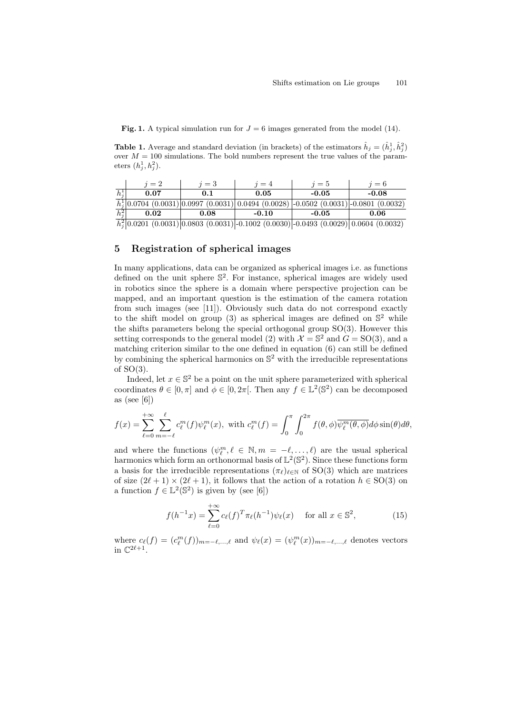**Fig. 1.** A typical simulation run for  $J = 6$  images generated from the model (14).

**Table 1.** Average and standard deviation (in brackets) of the estimators  $\hat{h}_j = (\hat{h}_j^1, \hat{h}_j^2)$ over  $M = 100$  simulations. The bold numbers represent the true values of the parameters  $(h_j^1, h_j^2)$ .

|         | $=2$ | $=$ 3 | $=4$    | $\eta = 5$                                                                                          | $i=6$   |
|---------|------|-------|---------|-----------------------------------------------------------------------------------------------------|---------|
| hĩ      | 0.07 |       | 0.05    | -0.05                                                                                               | $-0.08$ |
|         |      |       |         | $\frac{1}{h_1^1}$ 0.0704 (0.0031) 0.0997 (0.0031) 0.0494 (0.0028) -0.0502 (0.0031) -0.0801 (0.0032) |         |
| $h_i^2$ | 0.02 | 0.08  | $-0.10$ | -0.05                                                                                               | 0.06    |
|         |      |       |         | $\frac{1}{2}$ 0.0001 (0.0001) 0.0000 (0.0001) 0.1000 (0.0000) 0.0100 (0.0000) 0.0404 (0.0000)       |         |

 $\hat{h}_j^2\big|0.0201\,\, (0.0031)\big|0.0803\,\, (0.0031)\big|$  - $0.1002\,\, (0.0030)\big|$  - $0.0493\,\, (0.0029)\big|0.0604\,\, (0.0032)$ 

## 5 Registration of spherical images

In many applications, data can be organized as spherical images i.e. as functions defined on the unit sphere  $\mathbb{S}^2$ . For instance, spherical images are widely used in robotics since the sphere is a domain where perspective projection can be mapped, and an important question is the estimation of the camera rotation from such images (see [11]). Obviously such data do not correspond exactly to the shift model on group (3) as spherical images are defined on  $\mathbb{S}^2$  while the shifts parameters belong the special orthogonal group SO(3). However this setting corresponds to the general model (2) with  $\mathcal{X} = \mathbb{S}^2$  and  $G = SO(3)$ , and a matching criterion similar to the one defined in equation (6) can still be defined by combining the spherical harmonics on  $\mathbb{S}^2$  with the irreducible representations of  $SO(3)$ .

Indeed, let  $x \in \mathbb{S}^2$  be a point on the unit sphere parameterized with spherical coordinates  $\theta \in [0, \pi]$  and  $\phi \in [0, 2\pi]$ . Then any  $f \in \mathbb{L}^2(\mathbb{S}^2)$  can be decomposed as (see [6])

$$
f(x) = \sum_{\ell=0}^{+\infty} \sum_{m=-\ell}^{\ell} c_{\ell}^{m}(f) \psi_{\ell}^{m}(x), \text{ with } c_{\ell}^{m}(f) = \int_{0}^{\pi} \int_{0}^{2\pi} f(\theta, \phi) \overline{\psi_{\ell}^{m}(\theta, \phi)} d\phi \sin(\theta) d\theta,
$$

and where the functions  $(\psi_{\ell}^m, \ell \in \mathbb{N}, m = -\ell, \ldots, \ell)$  are the usual spherical harmonics which form an orthonormal basis of  $\mathbb{L}^2(\mathbb{S}^2)$ . Since these functions form a basis for the irreducible representations  $(\pi_{\ell})_{\ell \in \mathbb{N}}$  of SO(3) which are matrices of size  $(2\ell + 1) \times (2\ell + 1)$ , it follows that the action of a rotation  $h \in SO(3)$  on a function  $f \in \mathbb{L}^2(\mathbb{S}^2)$  is given by (see [6])

$$
f(h^{-1}x) = \sum_{\ell=0}^{+\infty} c_{\ell}(f)^{T} \pi_{\ell}(h^{-1}) \psi_{\ell}(x) \quad \text{ for all } x \in \mathbb{S}^{2},
$$
 (15)

where  $c_{\ell}(f) = (c_{\ell}^{m}(f))_{m=-\ell,...,\ell}$  and  $\psi_{\ell}(x) = (\psi_{\ell}^{m}(x))_{m=-\ell,...,\ell}$  denotes vectors in  $\mathbb{C}^{2\ell+1}$ .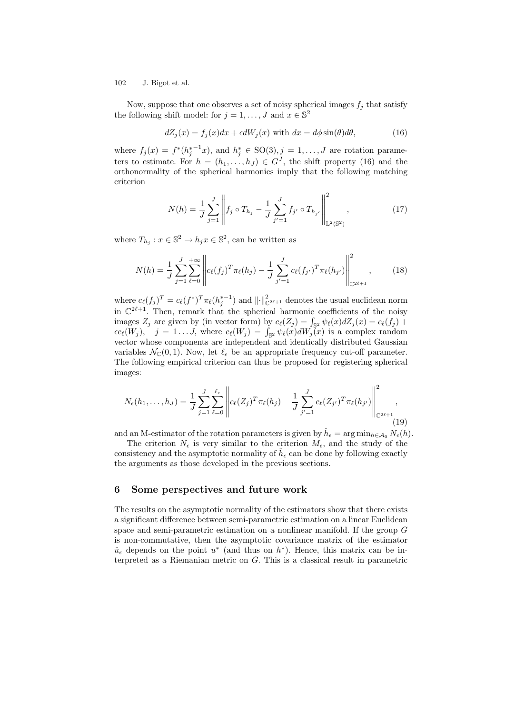Now, suppose that one observes a set of noisy spherical images  $f_j$  that satisfy the following shift model: for  $j = 1, ..., J$  and  $x \in \mathbb{S}^2$ 

$$
dZ_j(x) = f_j(x)dx + \epsilon dW_j(x) \text{ with } dx = d\phi \sin(\theta)d\theta,
$$
\n(16)

where  $f_j(x) = f^*(h_j^{*-1}x)$ , and  $h_j^* \in SO(3)$ ,  $j = 1, \ldots, J$  are rotation parameters to estimate. For  $h = (h_1, \ldots, h_J) \in G^J$ , the shift property (16) and the orthonormality of the spherical harmonics imply that the following matching criterion

$$
N(h) = \frac{1}{J} \sum_{j=1}^{J} \left\| f_j \circ T_{h_j} - \frac{1}{J} \sum_{j'=1}^{J} f_{j'} \circ T_{h_{j'}} \right\|_{\mathbb{L}^2(\mathbb{S}^2)}^2, \qquad (17)
$$

where  $T_{h_j}: x \in \mathbb{S}^2 \to h_j x \in \mathbb{S}^2$ , can be written as

$$
N(h) = \frac{1}{J} \sum_{j=1}^{J} \sum_{\ell=0}^{+\infty} \left\| c_{\ell}(f_j)^T \pi_{\ell}(h_j) - \frac{1}{J} \sum_{j'=1}^{J} c_{\ell}(f_{j'})^T \pi_{\ell}(h_{j'}) \right\|_{\mathbb{C}^{2\ell+1}}^2, \qquad (18)
$$

where  $c_{\ell}(f_j)^T = c_{\ell}(f^*)^T \pi_{\ell}(h_j^{*-1})$  and  $\left\| \cdot \right\|_{\mathbb{C}^{2\ell+1}}^2$  denotes the usual euclidean norm in  $\mathbb{C}^{2\ell+1}$ . Then, remark that the spherical harmonic coefficients of the noisy images  $Z_j$  are given by (in vector form) by  $c_{\ell}(Z_j) = \int_{\mathbb{S}^2} \psi_{\ell}(x) dZ_j(x) = c_{\ell}(f_j) +$  $\epsilon c_{\ell}(W_j)$ ,  $j = 1...J$ , where  $c_{\ell}(W_j) = \int_{\mathbb{S}^2} \psi_{\ell}(x) dW_j(x)$  is a complex random vector whose components are independent and identically distributed Gaussian variables  $\mathcal{N}_{\mathbb{C}}(0,1)$ . Now, let  $\ell_{\epsilon}$  be an appropriate frequency cut-off parameter. The following empirical criterion can thus be proposed for registering spherical images:

$$
N_{\epsilon}(h_1,\ldots,h_J) = \frac{1}{J} \sum_{j=1}^{J} \sum_{\ell=0}^{\ell_{\epsilon}} \left\| c_{\ell}(Z_j)^T \pi_{\ell}(h_j) - \frac{1}{J} \sum_{j'=1}^{J} c_{\ell}(Z_{j'})^T \pi_{\ell}(h_{j'}) \right\|_{\mathbb{C}^{2\ell+1}}^2,
$$
\n(19)

and an M-estimator of the rotation parameters is given by  $\hat{h}_{\epsilon} = \arg \min_{h \in \mathcal{A}_0} N_{\epsilon}(h)$ .

The criterion  $N_{\epsilon}$  is very similar to the criterion  $M_{\epsilon}$ , and the study of the consistency and the asymptotic normality of  $\hat{h}_{\epsilon}$  can be done by following exactly the arguments as those developed in the previous sections.

## 6 Some perspectives and future work

The results on the asymptotic normality of the estimators show that there exists a significant difference between semi-parametric estimation on a linear Euclidean space and semi-parametric estimation on a nonlinear manifold. If the group  $G$ is non-commutative, then the asymptotic covariance matrix of the estimator  $\hat{u}_{\epsilon}$  depends on the point  $u^*$  (and thus on  $h^*$ ). Hence, this matrix can be interpreted as a Riemanian metric on G. This is a classical result in parametric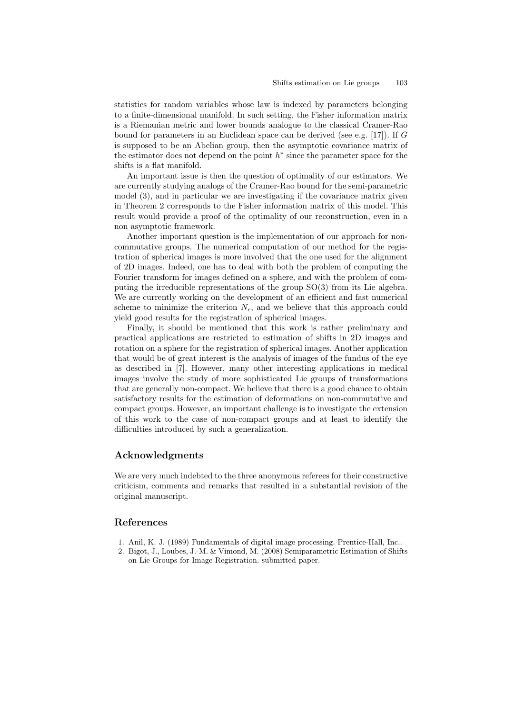statistics for random variables whose law is indexed by parameters belonging to a finite-dimensional manifold. In such setting, the Fisher information matrix is a Riemanian metric and lower bounds analogue to the classical Cramer-Rao bound for parameters in an Euclidean space can be derived (see e.g. [17]). If G is supposed to be an Abelian group, then the asymptotic covariance matrix of the estimator does not depend on the point  $h^*$  since the parameter space for the shifts is a flat manifold.

An important issue is then the question of optimality of our estimators. We are currently studying analogs of the Cramer-Rao bound for the semi-parametric model (3), and in particular we are investigating if the covariance matrix given in Theorem 2 corresponds to the Fisher information matrix of this model. This result would provide a proof of the optimality of our reconstruction, even in a non asymptotic framework.

Another important question is the implementation of our approach for noncommutative groups. The numerical computation of our method for the registration of spherical images is more involved that the one used for the alignment of 2D images. Indeed, one has to deal with both the problem of computing the Fourier transform for images defined on a sphere, and with the problem of computing the irreducible representations of the group SO(3) from its Lie algebra. We are currently working on the development of an efficient and fast numerical scheme to minimize the criterion  $N_{\epsilon}$ , and we believe that this approach could yield good results for the registration of spherical images.

Finally, it should be mentioned that this work is rather preliminary and practical applications are restricted to estimation of shifts in 2D images and rotation on a sphere for the registration of spherical images. Another application that would be of great interest is the analysis of images of the fundus of the eye as described in [7]. However, many other interesting applications in medical images involve the study of more sophisticated Lie groups of transformations that are generally non-compact. We believe that there is a good chance to obtain satisfactory results for the estimation of deformations on non-commutative and compact groups. However, an important challenge is to investigate the extension of this work to the case of non-compact groups and at least to identify the difficulties introduced by such a generalization.

## Acknowledgments

We are very much indebted to the three anonymous referees for their constructive criticism, comments and remarks that resulted in a substantial revision of the original manuscript.

## References

- 1. Anil, K. J. (1989) Fundamentals of digital image processing. Prentice-Hall, Inc..
- 2. Bigot, J., Loubes, J.-M. & Vimond, M. (2008) Semiparametric Estimation of Shifts on Lie Groups for Image Registration. submitted paper.